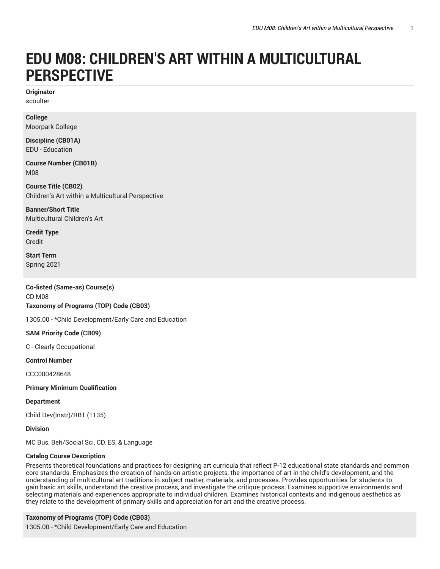# **EDU M08: CHILDREN'S ART WITHIN A MULTICULTURAL PERSPECTIVE**

**Originator** scoulter

**College** Moorpark College

**Discipline (CB01A)** EDU - Education

**Course Number (CB01B)** M08

**Course Title (CB02)** Children's Art within a Multicultural Perspective

**Banner/Short Title** Multicultural Children's Art

**Credit Type** Credit

**Start Term** Spring 2021

**Co-listed (Same-as) Course(s)** CD M08 **Taxonomy of Programs (TOP) Code (CB03)**

1305.00 - \*Child Development/Early Care and Education

**SAM Priority Code (CB09)**

C - Clearly Occupational

**Control Number**

CCC000428648

**Primary Minimum Qualification**

**Department**

Child Dev(Instr)/RBT (1135)

**Division**

MC Bus, Beh/Social Sci, CD, ES, & Language

## **Catalog Course Description**

Presents theoretical foundations and practices for designing art curricula that reflect P-12 educational state standards and common core standards. Emphasizes the creation of hands-on artistic projects, the importance of art in the child's development, and the understanding of multicultural art traditions in subject matter, materials, and processes. Provides opportunities for students to gain basic art skills, understand the creative process, and investigate the critique process. Examines supportive environments and selecting materials and experiences appropriate to individual children. Examines historical contexts and indigenous aesthetics as they relate to the development of primary skills and appreciation for art and the creative process.

**Taxonomy of Programs (TOP) Code (CB03)** 1305.00 - \*Child Development/Early Care and Education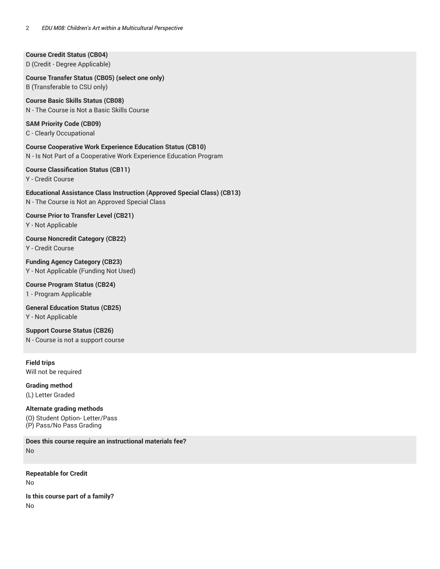**Course Credit Status (CB04)** D (Credit - Degree Applicable)

**Course Transfer Status (CB05) (select one only)** B (Transferable to CSU only)

**Course Basic Skills Status (CB08)** N - The Course is Not a Basic Skills Course

**SAM Priority Code (CB09)** C - Clearly Occupational

**Course Cooperative Work Experience Education Status (CB10)** N - Is Not Part of a Cooperative Work Experience Education Program

**Course Classification Status (CB11)**

Y - Credit Course

**Educational Assistance Class Instruction (Approved Special Class) (CB13)** N - The Course is Not an Approved Special Class

**Course Prior to Transfer Level (CB21)** Y - Not Applicable

**Course Noncredit Category (CB22)** Y - Credit Course

**Funding Agency Category (CB23)** Y - Not Applicable (Funding Not Used)

**Course Program Status (CB24)** 1 - Program Applicable

**General Education Status (CB25)** Y - Not Applicable

**Support Course Status (CB26)** N - Course is not a support course

**Field trips** Will not be required

**Grading method** (L) Letter Graded

**Alternate grading methods** (O) Student Option- Letter/Pass (P) Pass/No Pass Grading

**Does this course require an instructional materials fee?** No

**Repeatable for Credit** No **Is this course part of a family?**

No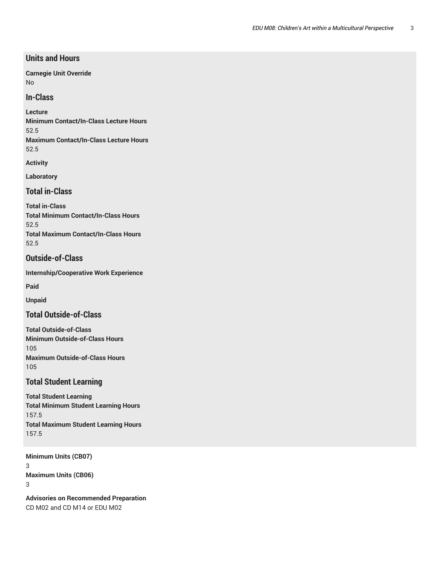# **Units and Hours**

**Carnegie Unit Override** No

## **In-Class**

**Lecture**

**Minimum Contact/In-Class Lecture Hours** 52.5 **Maximum Contact/In-Class Lecture Hours** 52.5

**Activity**

**Laboratory**

**Total in-Class**

**Total in-Class Total Minimum Contact/In-Class Hours** 52.5 **Total Maximum Contact/In-Class Hours** 52.5

# **Outside-of-Class**

**Internship/Cooperative Work Experience**

**Paid**

**Unpaid**

**Total Outside-of-Class**

**Total Outside-of-Class Minimum Outside-of-Class Hours** 105 **Maximum Outside-of-Class Hours** 105

# **Total Student Learning**

**Total Student Learning Total Minimum Student Learning Hours** 157.5 **Total Maximum Student Learning Hours** 157.5

**Minimum Units (CB07)** 3 **Maximum Units (CB06)** 3

**Advisories on Recommended Preparation** CD M02 and CD M14 or EDU M02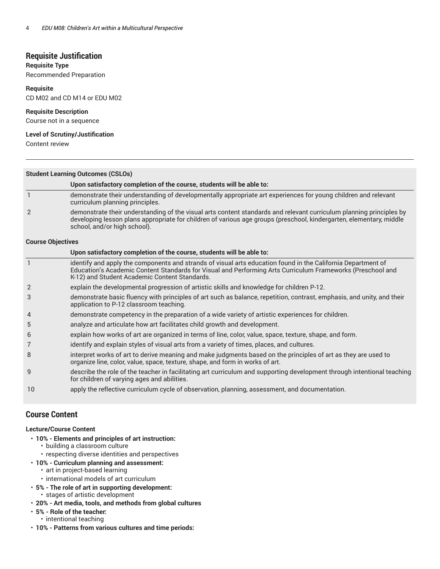# **Requisite Justification**

#### **Requisite Type**

Recommended Preparation

#### **Requisite**

CD M02 and CD M14 or EDU M02

#### **Requisite Description**

Course not in a sequence

#### **Level of Scrutiny/Justification**

Content review

| <b>Student Learning Outcomes (CSLOs)</b> |                                                                                                                                                                                                                                                                            |  |
|------------------------------------------|----------------------------------------------------------------------------------------------------------------------------------------------------------------------------------------------------------------------------------------------------------------------------|--|
|                                          | Upon satisfactory completion of the course, students will be able to:                                                                                                                                                                                                      |  |
|                                          | demonstrate their understanding of developmentally appropriate art experiences for young children and relevant<br>curriculum planning principles.                                                                                                                          |  |
| $\overline{2}$                           | demonstrate their understanding of the visual arts content standards and relevant curriculum planning principles by<br>developing lesson plans appropriate for children of various age groups (preschool, kindergarten, elementary, middle<br>school, and/or high school). |  |
| <b>Course Objectives</b>                 |                                                                                                                                                                                                                                                                            |  |
|                                          | llnon estiefactory completion of the course students will be able to:                                                                                                                                                                                                      |  |

|                | Upon satisfactory completion of the course, students will be able to:                                                                                                                                                                                                       |
|----------------|-----------------------------------------------------------------------------------------------------------------------------------------------------------------------------------------------------------------------------------------------------------------------------|
|                | identify and apply the components and strands of visual arts education found in the California Department of<br>Education's Academic Content Standards for Visual and Performing Arts Curriculum Frameworks (Preschool and<br>K-12) and Student Academic Content Standards. |
| $\overline{2}$ | explain the developmental progression of artistic skills and knowledge for children P-12.                                                                                                                                                                                   |
| 3              | demonstrate basic fluency with principles of art such as balance, repetition, contrast, emphasis, and unity, and their<br>application to P-12 classroom teaching.                                                                                                           |
| $\overline{4}$ | demonstrate competency in the preparation of a wide variety of artistic experiences for children.                                                                                                                                                                           |
| 5              | analyze and articulate how art facilitates child growth and development.                                                                                                                                                                                                    |
| 6              | explain how works of art are organized in terms of line, color, value, space, texture, shape, and form.                                                                                                                                                                     |
| 7              | identify and explain styles of visual arts from a variety of times, places, and cultures.                                                                                                                                                                                   |
| 8              | interpret works of art to derive meaning and make judgments based on the principles of art as they are used to<br>organize line, color, value, space, texture, shape, and form in works of art.                                                                             |
| 9              | describe the role of the teacher in facilitating art curriculum and supporting development through intentional teaching<br>for children of varying ages and abilities.                                                                                                      |
| 10             | apply the reflective curriculum cycle of observation, planning, assessment, and documentation.                                                                                                                                                                              |

# **Course Content**

#### **Lecture/Course Content**

- **10% - Elements and principles of art instruction:**
	- building a classroom culture
	- respecting diverse identities and perspectives
- **10% Curriculum planning and assessment:**
- art in project-based learning
	- international models of art curriculum
- **5% - The role of art in supporting development:** • stages of artistic development
- **20% - Art media, tools, and methods from global cultures**
- **5% - Role of the teacher:**
- intentional teaching
- **10% - Patterns from various cultures and time periods:**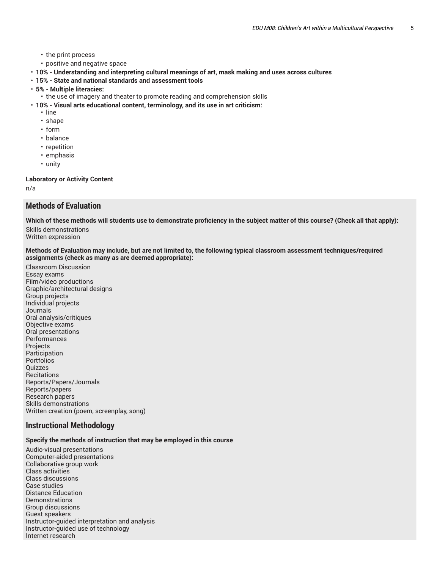- the print process
- positive and negative space
- **10% - Understanding and interpreting cultural meanings of art, mask making and uses across cultures**
- **15% State and national standards and assessment tools**
- **5% Multiple literacies:**
	- the use of imagery and theater to promote reading and comprehension skills
- **10% - Visual arts educational content, terminology, and its use in art criticism:**
	- line
	- shape
	- form
	- balance
	- repetition
	- emphasis
	- unity

#### **Laboratory or Activity Content**

n/a

# **Methods of Evaluation**

**Which of these methods will students use to demonstrate proficiency in the subject matter of this course? (Check all that apply):**

Skills demonstrations Written expression

Methods of Evaluation may include, but are not limited to, the following typical classroom assessment techniques/required **assignments (check as many as are deemed appropriate):**

Classroom Discussion Essay exams Film/video productions Graphic/architectural designs Group projects Individual projects Journals Oral analysis/critiques Objective exams Oral presentations **Performances** Projects Participation Portfolios Quizzes **Recitations** Reports/Papers/Journals Reports/papers Research papers Skills demonstrations Written creation (poem, screenplay, song)

## **Instructional Methodology**

#### **Specify the methods of instruction that may be employed in this course**

Audio-visual presentations Computer-aided presentations Collaborative group work Class activities Class discussions Case studies Distance Education **Demonstrations** Group discussions Guest speakers Instructor-guided interpretation and analysis Instructor-guided use of technology Internet research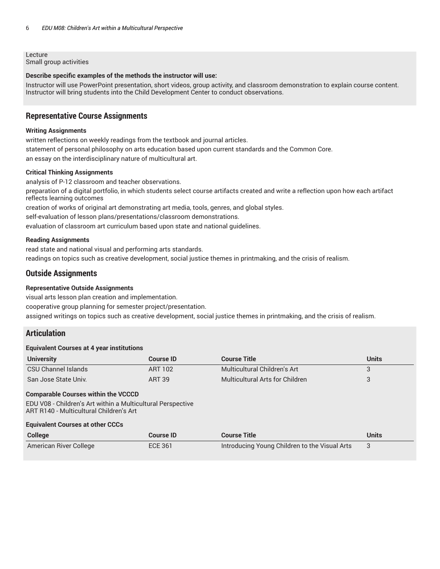Lecture Small group activities

#### **Describe specific examples of the methods the instructor will use:**

Instructor will use PowerPoint presentation, short videos, group activity, and classroom demonstration to explain course content. Instructor will bring students into the Child Development Center to conduct observations.

## **Representative Course Assignments**

#### **Writing Assignments**

written reflections on weekly readings from the textbook and journal articles. statement of personal philosophy on arts education based upon current standards and the Common Core. an essay on the interdisciplinary nature of multicultural art.

#### **Critical Thinking Assignments**

analysis of P-12 classroom and teacher observations.

preparation of a digital portfolio, in which students select course artifacts created and write a reflection upon how each artifact reflects learning outcomes

creation of works of original art demonstrating art media, tools, genres, and global styles.

self-evaluation of lesson plans/presentations/classroom demonstrations.

evaluation of classroom art curriculum based upon state and national guidelines.

#### **Reading Assignments**

read state and national visual and performing arts standards.

readings on topics such as creative development, social justice themes in printmaking, and the crisis of realism.

## **Outside Assignments**

#### **Representative Outside Assignments**

visual arts lesson plan creation and implementation.

cooperative group planning for semester project/presentation.

assigned writings on topics such as creative development, social justice themes in printmaking, and the crisis of realism.

## **Articulation**

#### **Equivalent Courses at 4 year institutions**

| <b>University</b>    | Course ID | <b>Course Title</b>             | Units |
|----------------------|-----------|---------------------------------|-------|
| CSU Channel Islands  | ART 102   | Multicultural Children's Art    |       |
| San Jose State Univ. | ART 39    | Multicultural Arts for Children |       |

#### **Comparable Courses within the VCCCD**

EDU V08 - Children's Art within a Multicultural Perspective ART R140 - Multicultural Children's Art

#### **Equivalent Courses at other CCCs**

| <b>College</b>         | <b>Course ID</b> | <b>Course Title</b>                           | Units |
|------------------------|------------------|-----------------------------------------------|-------|
| American River College | <b>ECE 361</b>   | Introducing Young Children to the Visual Arts |       |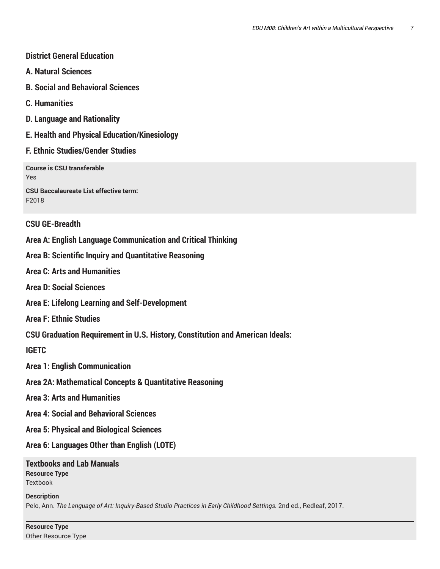# **District General Education**

- **A. Natural Sciences**
- **B. Social and Behavioral Sciences**
- **C. Humanities**
- **D. Language and Rationality**
- **E. Health and Physical Education/Kinesiology**
- **F. Ethnic Studies/Gender Studies**

**Course is CSU transferable** Yes

**CSU Baccalaureate List effective term:** F2018

# **CSU GE-Breadth**

**Area A: English Language Communication and Critical Thinking**

**Area B: Scientific Inquiry and Quantitative Reasoning**

**Area C: Arts and Humanities**

- **Area D: Social Sciences**
- **Area E: Lifelong Learning and Self-Development**
- **Area F: Ethnic Studies**

**CSU Graduation Requirement in U.S. History, Constitution and American Ideals:**

**IGETC**

**Area 1: English Communication**

- **Area 2A: Mathematical Concepts & Quantitative Reasoning**
- **Area 3: Arts and Humanities**
- **Area 4: Social and Behavioral Sciences**
- **Area 5: Physical and Biological Sciences**

**Area 6: Languages Other than English (LOTE)**

## **Textbooks and Lab Manuals Resource Type** Textbook

**Description** Pelo, Ann. *The Language of Art: Inquiry-Based Studio Practices in Early Childhood Settings.* 2nd ed., Redleaf, 2017.

**Resource Type** Other Resource Type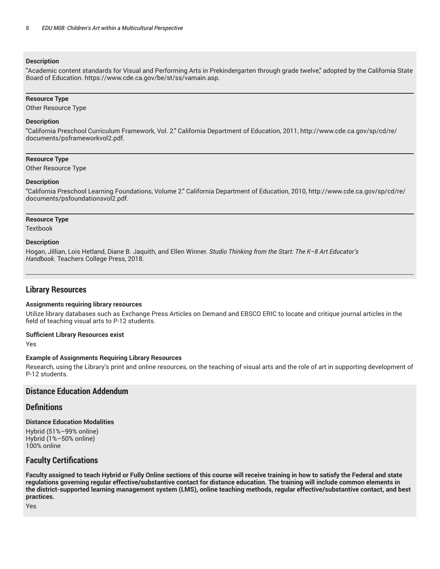#### **Description**

"Academic content standards for Visual and Performing Arts in Prekindergarten through grade twelve," adopted by the California State Board of Education. https://www.cde.ca.gov/be/st/ss/vamain.asp.

#### **Resource Type**

Other Resource Type

#### **Description**

"California Preschool Curriculum Framework, Vol. 2." California Department of Education, 2011, http://www.cde.ca.gov/sp/cd/re/ documents/psframeworkvol2.pdf.

#### **Resource Type**

Other Resource Type

#### **Description**

"California Preschool Learning Foundations, Volume 2." California Department of Education, 2010, http://www.cde.ca.gov/sp/cd/re/ documents/psfoundationsvol2.pdf.

#### **Resource Type**

Textbook

#### **Description**

Hogan, Jillian, Lois Hetland, Diane B. Jaquith, and Ellen Winner. *Studio Thinking from the Start: The K–8 Art Educator's Handbook*. Teachers College Press, 2018.

# **Library Resources**

#### **Assignments requiring library resources**

Utilize library databases such as Exchange Press Articles on Demand and EBSCO ERIC to locate and critique journal articles in the field of teaching visual arts to P-12 students.

#### **Sufficient Library Resources exist**

Yes

#### **Example of Assignments Requiring Library Resources**

Research, using the Library's print and online resources, on the teaching of visual arts and the role of art in supporting development of P-12 students.

# **Distance Education Addendum**

## **Definitions**

#### **Distance Education Modalities**

Hybrid (51%–99% online) Hybrid (1%–50% online) 100% online

# **Faculty Certifications**

Faculty assigned to teach Hybrid or Fully Online sections of this course will receive training in how to satisfy the Federal and state regulations governing regular effective/substantive contact for distance education. The training will include common elements in the district-supported learning management system (LMS), online teaching methods, regular effective/substantive contact, and best **practices.**

Yes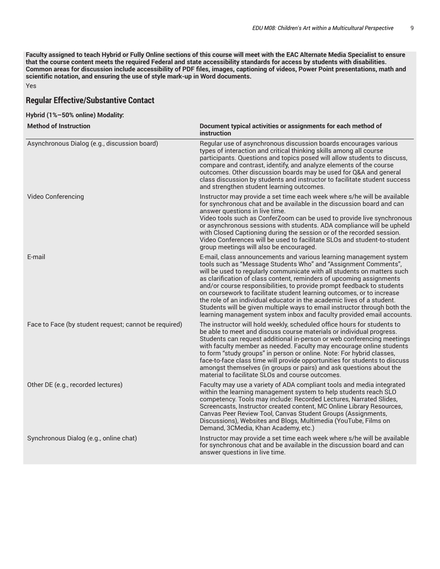Faculty assigned to teach Hybrid or Fully Online sections of this course will meet with the EAC Alternate Media Specialist to ensure that the course content meets the required Federal and state accessibility standards for access by students with disabilities. Common areas for discussion include accessibility of PDF files, images, captioning of videos, Power Point presentations, math and **scientific notation, and ensuring the use of style mark-up in Word documents.** Yes

# **Regular Effective/Substantive Contact**

|  |  |  | Hybrid (1%–50% online) Modality: |
|--|--|--|----------------------------------|
|--|--|--|----------------------------------|

| <b>Method of Instruction</b>                          | Document typical activities or assignments for each method of<br>instruction                                                                                                                                                                                                                                                                                                                                                                                                                                                                                                                                                                                                |
|-------------------------------------------------------|-----------------------------------------------------------------------------------------------------------------------------------------------------------------------------------------------------------------------------------------------------------------------------------------------------------------------------------------------------------------------------------------------------------------------------------------------------------------------------------------------------------------------------------------------------------------------------------------------------------------------------------------------------------------------------|
| Asynchronous Dialog (e.g., discussion board)          | Regular use of asynchronous discussion boards encourages various<br>types of interaction and critical thinking skills among all course<br>participants. Questions and topics posed will allow students to discuss,<br>compare and contrast, identify, and analyze elements of the course<br>outcomes. Other discussion boards may be used for Q&A and general<br>class discussion by students and instructor to facilitate student success<br>and strengthen student learning outcomes.                                                                                                                                                                                     |
| Video Conferencing                                    | Instructor may provide a set time each week where s/he will be available<br>for synchronous chat and be available in the discussion board and can<br>answer questions in live time.<br>Video tools such as ConferZoom can be used to provide live synchronous<br>or asynchronous sessions with students. ADA compliance will be upheld<br>with Closed Captioning during the session or of the recorded session.<br>Video Conferences will be used to facilitate SLOs and student-to-student<br>group meetings will also be encouraged.                                                                                                                                      |
| E-mail                                                | E-mail, class announcements and various learning management system<br>tools such as "Message Students Who" and "Assignment Comments",<br>will be used to regularly communicate with all students on matters such<br>as clarification of class content, reminders of upcoming assignments<br>and/or course responsibilities, to provide prompt feedback to students<br>on coursework to facilitate student learning outcomes, or to increase<br>the role of an individual educator in the academic lives of a student.<br>Students will be given multiple ways to email instructor through both the<br>learning management system inbox and faculty provided email accounts. |
| Face to Face (by student request; cannot be required) | The instructor will hold weekly, scheduled office hours for students to<br>be able to meet and discuss course materials or individual progress.<br>Students can request additional in-person or web conferencing meetings<br>with faculty member as needed. Faculty may encourage online students<br>to form "study groups" in person or online. Note: For hybrid classes,<br>face-to-face class time will provide opportunities for students to discuss<br>amongst themselves (in groups or pairs) and ask questions about the<br>material to facilitate SLOs and course outcomes.                                                                                         |
| Other DE (e.g., recorded lectures)                    | Faculty may use a variety of ADA compliant tools and media integrated<br>within the learning management system to help students reach SLO<br>competency. Tools may include: Recorded Lectures, Narrated Slides,<br>Screencasts, Instructor created content, MC Online Library Resources,<br>Canvas Peer Review Tool, Canvas Student Groups (Assignments,<br>Discussions), Websites and Blogs, Multimedia (YouTube, Films on<br>Demand, 3CMedia, Khan Academy, etc.)                                                                                                                                                                                                         |
| Synchronous Dialog (e.g., online chat)                | Instructor may provide a set time each week where s/he will be available<br>for synchronous chat and be available in the discussion board and can<br>answer questions in live time.                                                                                                                                                                                                                                                                                                                                                                                                                                                                                         |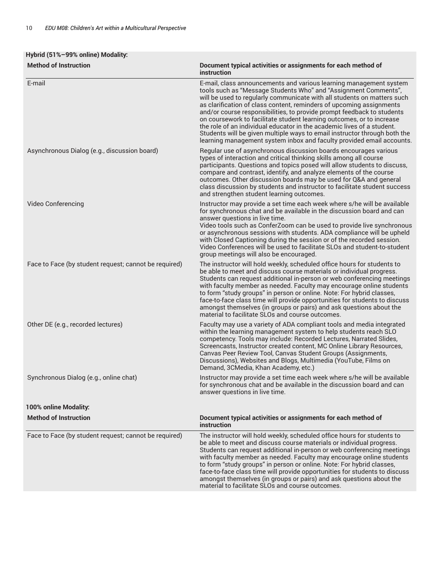# **Hybrid (51%–99% online) Modality:**

| <b>Method of Instruction</b>                          | Document typical activities or assignments for each method of<br>instruction                                                                                                                                                                                                                                                                                                                                                                                                                                                                                                                                                                                                |
|-------------------------------------------------------|-----------------------------------------------------------------------------------------------------------------------------------------------------------------------------------------------------------------------------------------------------------------------------------------------------------------------------------------------------------------------------------------------------------------------------------------------------------------------------------------------------------------------------------------------------------------------------------------------------------------------------------------------------------------------------|
| E-mail                                                | E-mail, class announcements and various learning management system<br>tools such as "Message Students Who" and "Assignment Comments",<br>will be used to regularly communicate with all students on matters such<br>as clarification of class content, reminders of upcoming assignments<br>and/or course responsibilities, to provide prompt feedback to students<br>on coursework to facilitate student learning outcomes, or to increase<br>the role of an individual educator in the academic lives of a student.<br>Students will be given multiple ways to email instructor through both the<br>learning management system inbox and faculty provided email accounts. |
| Asynchronous Dialog (e.g., discussion board)          | Regular use of asynchronous discussion boards encourages various<br>types of interaction and critical thinking skills among all course<br>participants. Questions and topics posed will allow students to discuss,<br>compare and contrast, identify, and analyze elements of the course<br>outcomes. Other discussion boards may be used for Q&A and general<br>class discussion by students and instructor to facilitate student success<br>and strengthen student learning outcomes.                                                                                                                                                                                     |
| Video Conferencing                                    | Instructor may provide a set time each week where s/he will be available<br>for synchronous chat and be available in the discussion board and can<br>answer questions in live time.<br>Video tools such as ConferZoom can be used to provide live synchronous<br>or asynchronous sessions with students. ADA compliance will be upheld<br>with Closed Captioning during the session or of the recorded session.<br>Video Conferences will be used to facilitate SLOs and student-to-student<br>group meetings will also be encouraged.                                                                                                                                      |
| Face to Face (by student request; cannot be required) | The instructor will hold weekly, scheduled office hours for students to<br>be able to meet and discuss course materials or individual progress.<br>Students can request additional in-person or web conferencing meetings<br>with faculty member as needed. Faculty may encourage online students<br>to form "study groups" in person or online. Note: For hybrid classes,<br>face-to-face class time will provide opportunities for students to discuss<br>amongst themselves (in groups or pairs) and ask questions about the<br>material to facilitate SLOs and course outcomes.                                                                                         |
| Other DE (e.g., recorded lectures)                    | Faculty may use a variety of ADA compliant tools and media integrated<br>within the learning management system to help students reach SLO<br>competency. Tools may include: Recorded Lectures, Narrated Slides,<br>Screencasts, Instructor created content, MC Online Library Resources,<br>Canvas Peer Review Tool, Canvas Student Groups (Assignments,<br>Discussions), Websites and Blogs, Multimedia (YouTube, Films on<br>Demand, 3CMedia, Khan Academy, etc.)                                                                                                                                                                                                         |
| Synchronous Dialog (e.g., online chat)                | Instructor may provide a set time each week where s/he will be available<br>for synchronous chat and be available in the discussion board and can<br>answer questions in live time.                                                                                                                                                                                                                                                                                                                                                                                                                                                                                         |
| 100% online Modality:                                 |                                                                                                                                                                                                                                                                                                                                                                                                                                                                                                                                                                                                                                                                             |
| <b>Method of Instruction</b>                          | Document typical activities or assignments for each method of<br>instruction                                                                                                                                                                                                                                                                                                                                                                                                                                                                                                                                                                                                |
| Face to Face (by student request; cannot be required) | The instructor will hold weekly, scheduled office hours for students to<br>be able to meet and discuss course materials or individual progress.<br>Students can request additional in-person or web conferencing meetings<br>with faculty member as needed. Faculty may encourage online students<br>to form "study groups" in person or online. Note: For hybrid classes,<br>face-to-face class time will provide opportunities for students to discuss<br>amongst themselves (in groups or pairs) and ask questions about the<br>material to facilitate SLOs and course outcomes.                                                                                         |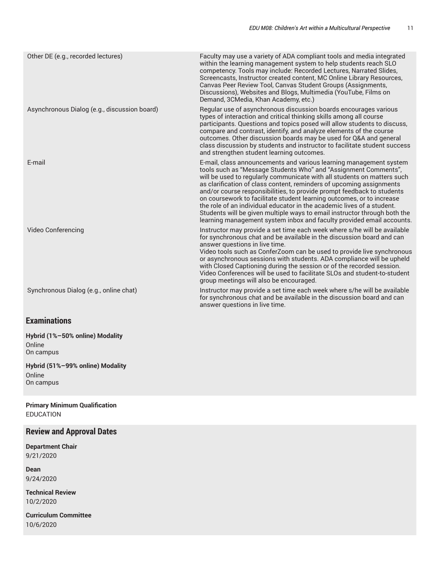| Other DE (e.g., recorded lectures)           | Faculty may use a variety of ADA compliant tools and media integrated<br>within the learning management system to help students reach SLO<br>competency. Tools may include: Recorded Lectures, Narrated Slides,<br>Screencasts, Instructor created content, MC Online Library Resources,<br>Canvas Peer Review Tool, Canvas Student Groups (Assignments,<br>Discussions), Websites and Blogs, Multimedia (YouTube, Films on<br>Demand, 3CMedia, Khan Academy, etc.)                                                                                                                                                                                                         |
|----------------------------------------------|-----------------------------------------------------------------------------------------------------------------------------------------------------------------------------------------------------------------------------------------------------------------------------------------------------------------------------------------------------------------------------------------------------------------------------------------------------------------------------------------------------------------------------------------------------------------------------------------------------------------------------------------------------------------------------|
| Asynchronous Dialog (e.g., discussion board) | Regular use of asynchronous discussion boards encourages various<br>types of interaction and critical thinking skills among all course<br>participants. Questions and topics posed will allow students to discuss,<br>compare and contrast, identify, and analyze elements of the course<br>outcomes. Other discussion boards may be used for Q&A and general<br>class discussion by students and instructor to facilitate student success<br>and strengthen student learning outcomes.                                                                                                                                                                                     |
| E-mail                                       | E-mail, class announcements and various learning management system<br>tools such as "Message Students Who" and "Assignment Comments",<br>will be used to regularly communicate with all students on matters such<br>as clarification of class content, reminders of upcoming assignments<br>and/or course responsibilities, to provide prompt feedback to students<br>on coursework to facilitate student learning outcomes, or to increase<br>the role of an individual educator in the academic lives of a student.<br>Students will be given multiple ways to email instructor through both the<br>learning management system inbox and faculty provided email accounts. |
| Video Conferencing                           | Instructor may provide a set time each week where s/he will be available<br>for synchronous chat and be available in the discussion board and can<br>answer questions in live time.<br>Video tools such as ConferZoom can be used to provide live synchronous<br>or asynchronous sessions with students. ADA compliance will be upheld<br>with Closed Captioning during the session or of the recorded session.<br>Video Conferences will be used to facilitate SLOs and student-to-student<br>group meetings will also be encouraged.                                                                                                                                      |
| Synchronous Dialog (e.g., online chat)       | Instructor may provide a set time each week where s/he will be available<br>for synchronous chat and be available in the discussion board and can<br>answer questions in live time.                                                                                                                                                                                                                                                                                                                                                                                                                                                                                         |

# **Examinations**

**Hybrid (1%–50% online) Modality** Online On campus

**Hybrid (51%–99% online) Modality** Online On campus

**Primary Minimum Qualification** EDUCATION

# **Review and Approval Dates**

**Department Chair** 9/21/2020

**Dean** 9/24/2020

**Technical Review** 10/2/2020

**Curriculum Committee** 10/6/2020